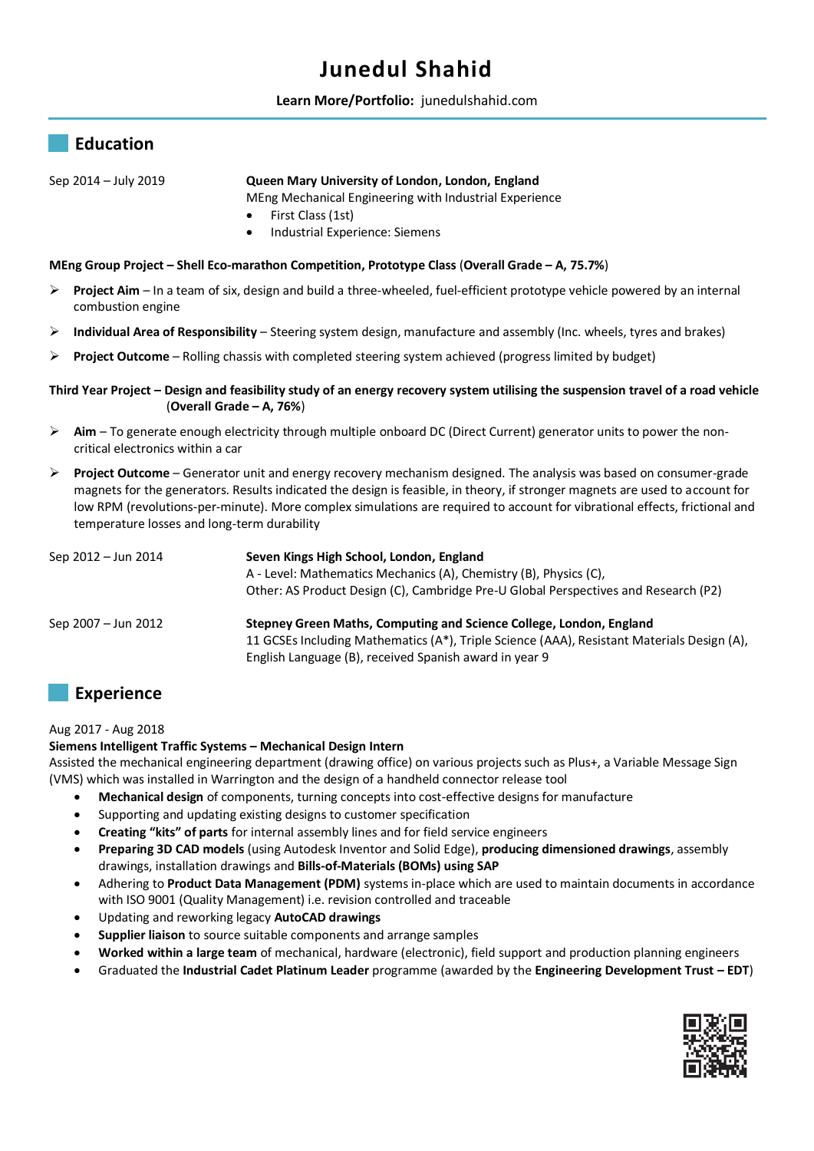# **Junedul Shahid**



## Sep 2014 – July 2019 **Queen Mary University of London, London, England**

MEng Mechanical Engineering with Industrial Experience

- First Class (1st)
- Industrial Experience: Siemens

#### **MEng Group Project – Shell Eco-marathon Competition, Prototype Class** (**Overall Grade – A, 75.7%**)

- **Project Aim**  In a team of six, design and build a three-wheeled, fuel-efficient prototype vehicle powered by an internal combustion engine
- **Individual Area of Responsibility**  Steering system design, manufacture and assembly (Inc. wheels, tyres and brakes)
- **Project Outcome**  Rolling chassis with completed steering system achieved (progress limited by budget)

### **Third Year Project – Design and feasibility study of an energy recovery system utilising the suspension travel of a road vehicle** (**Overall Grade – A, 76%**)

- **Aim** To generate enough electricity through multiple onboard DC (Direct Current) generator units to power the noncritical electronics within a car
- **Project Outcome** Generator unit and energy recovery mechanism designed. The analysis was based on consumer-grade magnets for the generators. Results indicated the design is feasible, in theory, if stronger magnets are used to account for low RPM (revolutions-per-minute). More complex simulations are required to account for vibrational effects, frictional and temperature losses and long-term durability

| Sep 2012 - Jun 2014 | Seven Kings High School, London, England                                                   |
|---------------------|--------------------------------------------------------------------------------------------|
|                     | A - Level: Mathematics Mechanics (A), Chemistry (B), Physics (C),                          |
|                     | Other: AS Product Design (C), Cambridge Pre-U Global Perspectives and Research (P2)        |
| Sep 2007 - Jun 2012 | Stepney Green Maths, Computing and Science College, London, England                        |
|                     | 11 GCSEs Including Mathematics (A*), Triple Science (AAA), Resistant Materials Design (A), |
|                     | English Language (B), received Spanish award in year 9                                     |

# **Experience**

#### Aug 2017 - Aug 2018

# **Siemens Intelligent Traffic Systems – Mechanical Design Intern**

Assisted the mechanical engineering department (drawing office) on various projects such as Plus+, a Variable Message Sign (VMS) which was installed in Warrington and the design of a handheld connector release tool

- **Mechanical design** of components, turning concepts into cost-effective designs for manufacture
- Supporting and updating existing designs to customer specification
- **Creating "kits" of parts** for internal assembly lines and for field service engineers
- **Preparing 3D CAD models** (using Autodesk Inventor and Solid Edge), **producing dimensioned drawings**, assembly drawings, installation drawings and **Bills-of-Materials (BOMs) using SAP**
- Adhering to **Product Data Management (PDM)** systems in-place which are used to maintain documents in accordance with ISO 9001 (Quality Management) i.e. revision controlled and traceable
- Updating and reworking legacy **AutoCAD drawings**
- **Supplier liaison** to source suitable components and arrange samples
- **Worked within a large team** of mechanical, hardware (electronic), field support and production planning engineers
- Graduated the **Industrial Cadet Platinum Leader** programme (awarded by the **Engineering Development Trust – EDT**)